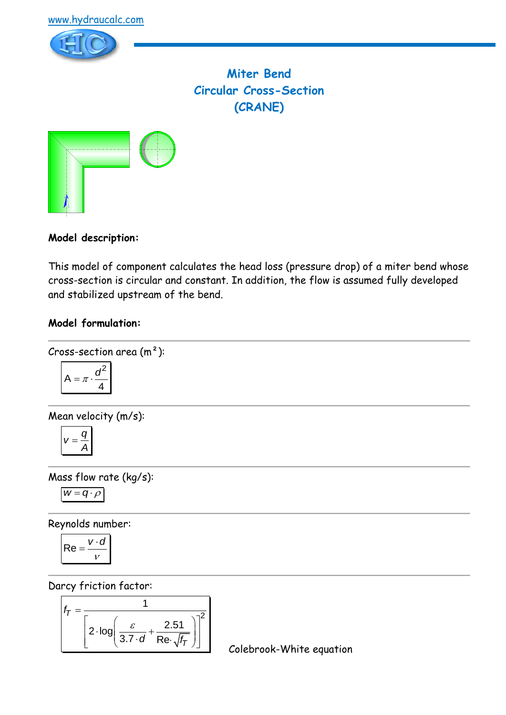



**Miter Bend Circular Cross-Section (CRANE)**



**Model description:**

This model of component calculates the head loss (pressure drop) of a miter bend whose cross-section is circular and constant. In addition, the flow is assumed fully developed and stabilized upstream of the bend.

### **Model formulation:**

Cross-section area  $(m<sup>2</sup>)$ :

$$
A = \pi \cdot \frac{d^2}{4}
$$

Mean velocity (m/s):

$$
v=\frac{q}{A}
$$

Mass flow rate (kg/s):

$$
w=q\cdot \rho
$$

Reynolds number:

$$
\mathsf{Re} = \frac{v \cdot d}{v}
$$

Darcy friction factor:

$$
f_T = \frac{1}{\left[2 \cdot \log \left(\frac{\varepsilon}{3.7 \cdot d} + \frac{2.51}{\text{Re} \cdot \sqrt{f_T}}\right)\right]^2}
$$

Colebrook-White equation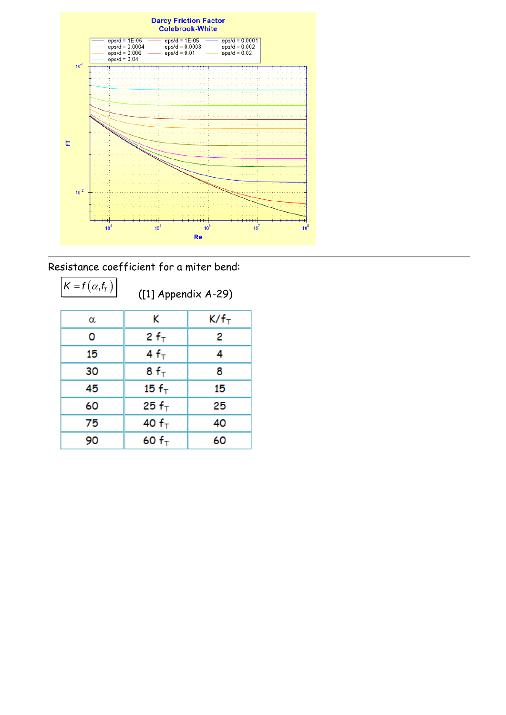

Resistance coefficient for a miter bend:

 $K = f(\alpha, f)$ 

([1] Appendix A-29)

| ĸ                 | K/f <sub>T</sub> |
|-------------------|------------------|
| $2 f_T$           | 2                |
| $4f_T$            | 4                |
| $8f_{\text{T}}$   | 8                |
| 15 $fT$           | 15               |
| 25 f <sub>T</sub> | 25               |
| 40 $fT$           | 40               |
| 60 $fT$           | 60               |
|                   |                  |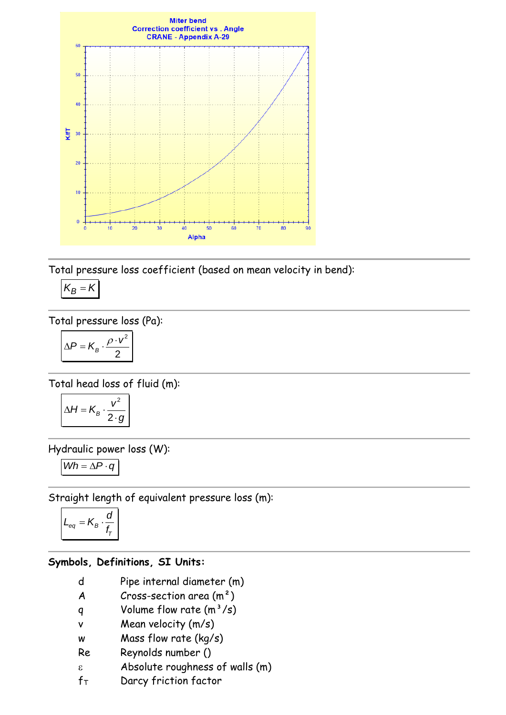

Total pressure loss coefficient (based on mean velocity in bend):

$$
K_B=K
$$

Total pressure loss (Pa):

$$
\Delta P = K_B \cdot \frac{\rho \cdot v^2}{2}
$$

Total head loss of fluid (m):

$$
\Delta H = K_B \cdot \frac{v^2}{2 \cdot g}
$$

Hydraulic power loss (W):

$$
Wh = \Delta P \cdot q
$$

Straight length of equivalent pressure loss (m):

$$
L_{eq} = K_B \cdot \frac{d}{f_{\tau}}
$$

### **Symbols, Definitions, SI Units:**

- d Pipe internal diameter (m)
- $A$  Cross-section area  $(m<sup>2</sup>)$
- q Volume flow rate  $(m^3/s)$
- v Mean velocity (m/s)
- w Mass flow rate (kg/s)
- Re Reynolds number ()
- Absolute roughness of walls (m)
- $f_T$  Darcy friction factor